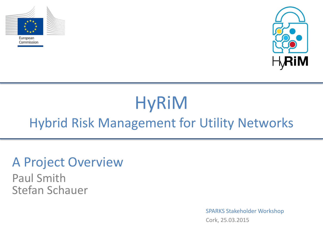



## HyRiM Hybrid Risk Management for Utility Networks

## A Project Overview

Paul Smith Stefan Schauer

> SPARKS Stakeholder Workshop Cork, 25.03.2015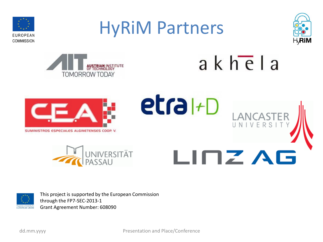



This project is supported by the European Commission through the FP7-SEC-2013-1 Grant Agreement Number: 608090

dd.mm.yyyy

Presentation and Place/Conference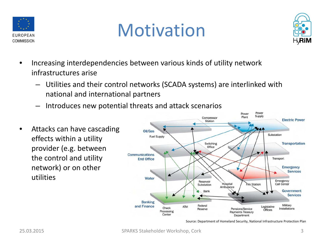





- Increasing interdependencies between various kinds of utility network infrastructures arise
	- Utilities and their control networks (SCADA systems) are interlinked with national and international partners
	- Introduces new potential threats and attack scenarios
- Attacks can have cascading effects within a utility provider (e.g. between the control and utility network) or on other utilities



Source: Department of Homeland Security, National Infrastructure Protection Plan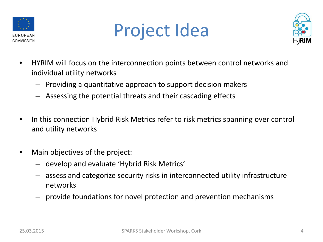

## Project Idea



- HYRIM will focus on the interconnection points between control networks and individual utility networks
	- Providing a quantitative approach to support decision makers
	- Assessing the potential threats and their cascading effects
- In this connection Hybrid Risk Metrics refer to risk metrics spanning over control and utility networks
- Main objectives of the project:
	- develop and evaluate 'Hybrid Risk Metrics'
	- assess and categorize security risks in interconnected utility infrastructure networks
	- provide foundations for novel protection and prevention mechanisms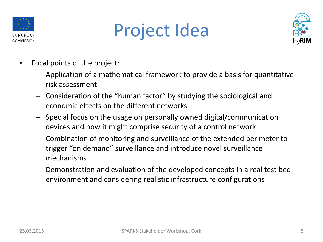

## Project Idea



- Focal points of the project:
	- Application of a mathematical framework to provide a basis for quantitative risk assessment
	- Consideration of the "human factor" by studying the sociological and economic effects on the different networks
	- Special focus on the usage on personally owned digital/communication devices and how it might comprise security of a control network
	- Combination of monitoring and surveillance of the extended perimeter to trigger "on demand" surveillance and introduce novel surveillance mechanisms
	- Demonstration and evaluation of the developed concepts in a real test bed environment and considering realistic infrastructure configurations